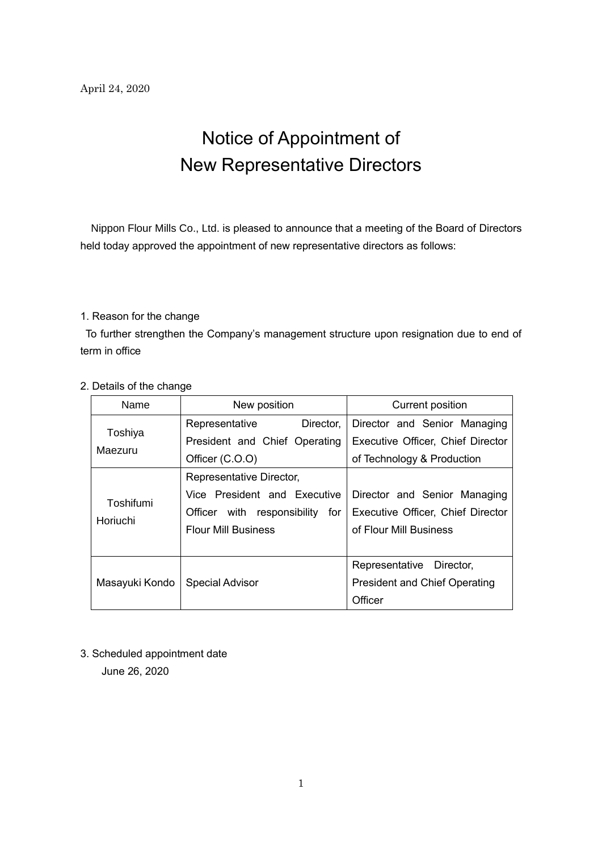## Notice of Appointment of New Representative Directors

Nippon Flour Mills Co., Ltd. is pleased to announce that a meeting of the Board of Directors held today approved the appointment of new representative directors as follows:

## 1. Reason for the change

To further strengthen the Company's management structure upon resignation due to end of term in office

| Name                  | New position                       | <b>Current position</b>              |
|-----------------------|------------------------------------|--------------------------------------|
| Toshiya<br>Maezuru    | Director,<br>Representative        | Director and Senior Managing         |
|                       | President and Chief Operating      | Executive Officer, Chief Director    |
|                       | Officer (C.O.O)                    | of Technology & Production           |
| Toshifumi<br>Horiuchi | Representative Director,           |                                      |
|                       | Vice President and Executive       | Director and Senior Managing         |
|                       | Officer with responsibility<br>for | Executive Officer, Chief Director    |
|                       | <b>Flour Mill Business</b>         | of Flour Mill Business               |
|                       |                                    |                                      |
| Masayuki Kondo        |                                    | Representative Director,             |
|                       | <b>Special Advisor</b>             | <b>President and Chief Operating</b> |
|                       |                                    | Officer                              |

## 2. Details of the change

3. Scheduled appointment date

June 26, 2020